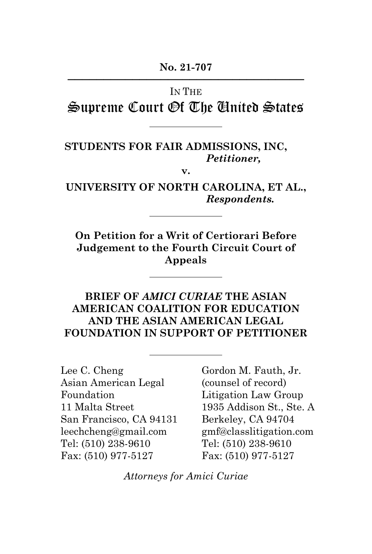# IN THE

Supreme Court Of The United States

### **STUDENTS FOR FAIR ADMISSIONS, INC,** *Petitioner,*

**v.**

**UNIVERSITY OF NORTH CAROLINA, ET AL.,** *Respondents.*

**On Petition for a Writ of Certiorari Before Judgement to the Fourth Circuit Court of Appeals**

#### **BRIEF OF** *AMICI CURIAE* **THE ASIAN AMERICAN COALITION FOR EDUCATION AND THE ASIAN AMERICAN LEGAL FOUNDATION IN SUPPORT OF PETITIONER**

Lee C. Cheng Asian American Legal Foundation 11 Malta Street San Francisco, CA 94131 leechcheng@gmail.com Tel: (510) 238-9610 Fax: (510) 977-5127

Gordon M. Fauth, Jr. (counsel of record) Litigation Law Group 1935 Addison St., Ste. A Berkeley, CA 94704 gmf@classlitigation.com Tel: (510) 238-9610 Fax: (510) 977-5127

*Attorneys for Amici Curiae*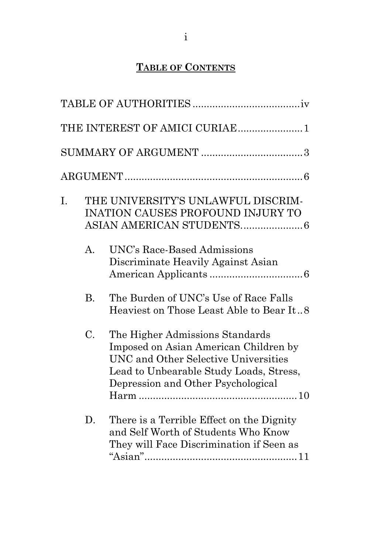# **TABLE OF CONTENTS**

|    |                | THE INTEREST OF AMICI CURIAE1                                                                                                                                                                     |
|----|----------------|---------------------------------------------------------------------------------------------------------------------------------------------------------------------------------------------------|
|    |                |                                                                                                                                                                                                   |
|    |                |                                                                                                                                                                                                   |
| I. |                | THE UNIVERSITY'S UNLAWFUL DISCRIM-<br><b>INATION CAUSES PROFOUND INJURY TO</b>                                                                                                                    |
|    | $\mathbf{A}$ . | UNC's Race-Based Admissions<br>Discriminate Heavily Against Asian                                                                                                                                 |
|    | <b>B.</b>      | The Burden of UNC's Use of Race Falls<br>Heaviest on Those Least Able to Bear It8                                                                                                                 |
|    | C.             | The Higher Admissions Standards<br>Imposed on Asian American Children by<br>UNC and Other Selective Universities<br>Lead to Unbearable Study Loads, Stress,<br>Depression and Other Psychological |
|    | D.             | There is a Terrible Effect on the Dignity<br>and Self Worth of Students Who Know<br>They will Face Discrimination if Seen as                                                                      |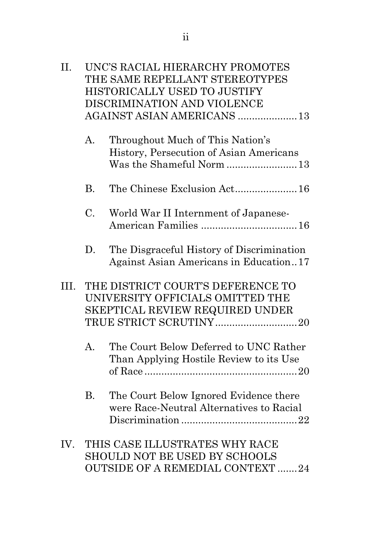| II.  |                | UNC'S RACIAL HIERARCHY PROMOTES<br>THE SAME REPELLANT STEREOTYPES<br>HISTORICALLY USED TO JUSTIFY<br>DISCRIMINATION AND VIOLENCE<br>AGAINST ASIAN AMERICANS  13 |
|------|----------------|-----------------------------------------------------------------------------------------------------------------------------------------------------------------|
|      | $\mathbf{A}$ . | Throughout Much of This Nation's<br>History, Persecution of Asian Americans<br>Was the Shameful Norm 13                                                         |
|      | <b>B.</b>      |                                                                                                                                                                 |
|      | C.             | World War II Internment of Japanese-                                                                                                                            |
|      | D.             | The Disgraceful History of Discrimination<br>Against Asian Americans in Education17                                                                             |
| III. |                | THE DISTRICT COURT'S DEFERENCE TO<br>UNIVERSITY OFFICIALS OMITTED THE<br>SKEPTICAL REVIEW REQUIRED UNDER                                                        |
|      | $\mathbf{A}$ . | The Court Below Deferred to UNC Rather<br>Than Applying Hostile Review to its Use                                                                               |
|      | <b>B.</b>      | The Court Below Ignored Evidence there<br>were Race-Neutral Alternatives to Racial                                                                              |
| IV.  |                | THIS CASE ILLUSTRATES WHY RACE<br>SHOULD NOT BE USED BY SCHOOLS                                                                                                 |

OUTSIDE OF A REMEDIAL CONTEXT .......24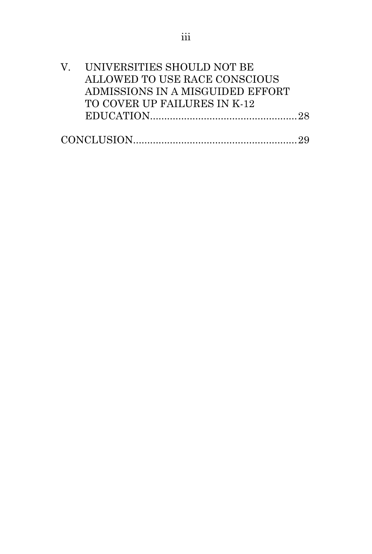| V. UNIVERSITIES SHOULD NOT BE    |  |
|----------------------------------|--|
| ALLOWED TO USE RACE CONSCIOUS    |  |
| ADMISSIONS IN A MISGUIDED EFFORT |  |
| TO COVER UP FAILURES IN K-12     |  |
|                                  |  |
|                                  |  |
|                                  |  |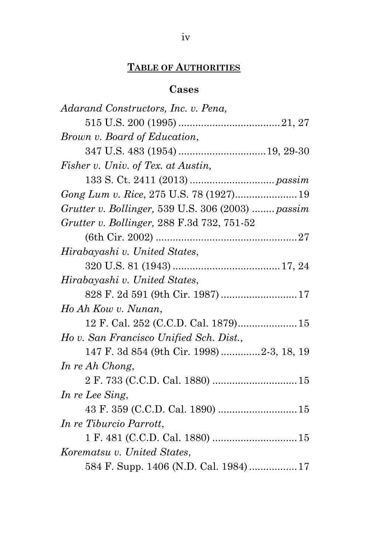## **TABLE OF AUTHORITIES**

### **Cases**

| Adarand Constructors, Inc. v. Pena,               |
|---------------------------------------------------|
|                                                   |
| Brown v. Board of Education,                      |
|                                                   |
| Fisher v. Univ. of Tex. at Austin,                |
|                                                   |
| Gong Lum v. Rice, 275 U.S. 78 (1927) 19           |
| Grutter v. Bollinger, 539 U.S. 306 (2003)  passim |
| Grutter v. Bollinger, 288 F.3d 732, 751-52        |
|                                                   |
| Hirabayashi v. United States,                     |
|                                                   |
| Hirabayashi v. United States,                     |
| 828 F. 2d 591 (9th Cir. 1987)  17                 |
| Ho Ah Kow v. Nunan,                               |
|                                                   |
| Ho v. San Francisco Unified Sch. Dist.,           |
| 147 F. 3d 854 (9th Cir. 1998) 2-3, 18, 19         |
| In re Ah Chong,                                   |
|                                                   |
| In re Lee Sing,                                   |
|                                                   |
| In re Tiburcio Parrott,                           |
|                                                   |
| Korematsu v. United States,                       |
| 584 F. Supp. 1406 (N.D. Cal. 1984) 17             |
|                                                   |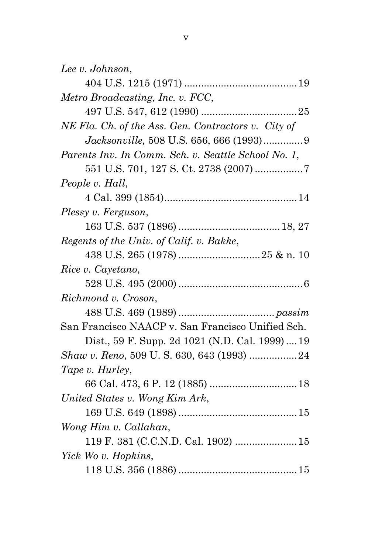| Lee v. Johnson,                                     |  |
|-----------------------------------------------------|--|
|                                                     |  |
| Metro Broadcasting, Inc. v. FCC,                    |  |
|                                                     |  |
| NE Fla. Ch. of the Ass. Gen. Contractors v. City of |  |
|                                                     |  |
| Parents Inv. In Comm. Sch. v. Seattle School No. 1, |  |
|                                                     |  |
| People v. Hall,                                     |  |
|                                                     |  |
| Plessy v. Ferguson,                                 |  |
|                                                     |  |
| Regents of the Univ. of Calif. v. Bakke,            |  |
|                                                     |  |
| Rice v. Cayetano,                                   |  |
|                                                     |  |
| Richmond v. Croson,                                 |  |
|                                                     |  |
| San Francisco NAACP v. San Francisco Unified Sch.   |  |
| Dist., 59 F. Supp. 2d 1021 (N.D. Cal. 1999)  19     |  |
| Shaw v. Reno, 509 U.S. 630, 643 (1993) 24           |  |
| Tape v. Hurley,                                     |  |
|                                                     |  |
| United States v. Wong Kim Ark,                      |  |
|                                                     |  |
| Wong Him v. Callahan,                               |  |
| 119 F. 381 (C.C.N.D. Cal. 1902)  15                 |  |
| Yick Wo v. Hopkins,                                 |  |
|                                                     |  |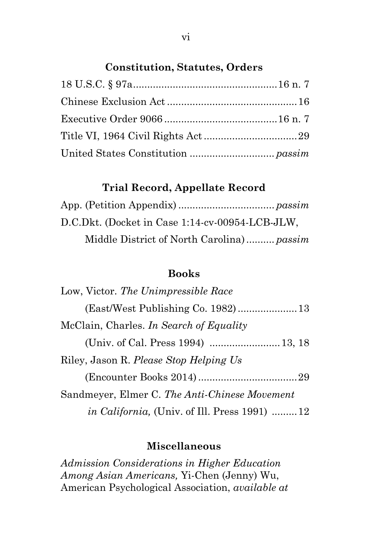# **Constitution, Statutes, Orders**

### **Trial Record, Appellate Record**

| D.C.Dkt. (Docket in Case 1:14-cv-00954-LCB-JLW, |  |
|-------------------------------------------------|--|
| Middle District of North Carolina) passim       |  |

# **Books**

| Low, Victor. The Unimpressible Race                  |  |
|------------------------------------------------------|--|
|                                                      |  |
| McClain, Charles. In Search of Equality              |  |
|                                                      |  |
| Riley, Jason R. Please Stop Helping Us               |  |
|                                                      |  |
| Sandmeyer, Elmer C. The Anti-Chinese Movement        |  |
| <i>in California</i> , (Univ. of Ill. Press 1991) 12 |  |

### **Miscellaneous**

*Admission Considerations in Higher Education Among Asian Americans,* Yi-Chen (Jenny) Wu, American Psychological Association, *available at*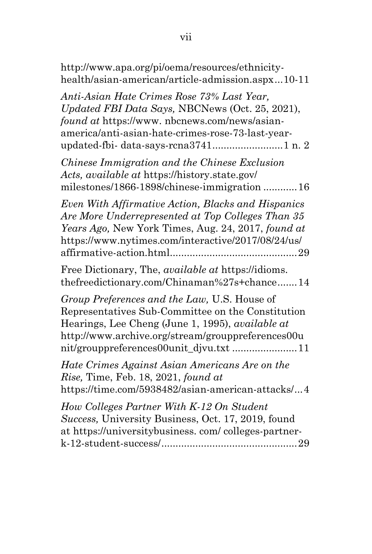| http://www.apa.org/pi/oema/resources/ethnicity-<br>health/asian-american/article-admission.aspx10-11                                                                                                                                                        |
|-------------------------------------------------------------------------------------------------------------------------------------------------------------------------------------------------------------------------------------------------------------|
| Anti-Asian Hate Crimes Rose 73% Last Year,<br>Updated FBI Data Says, NBCNews (Oct. 25, 2021),<br>found at https://www.nbcnews.com/news/asian-<br>america/anti-asian-hate-crimes-rose-73-last-year-<br>updated-fbi-data-says-rcna37411 n. 2                  |
| Chinese Immigration and the Chinese Exclusion<br>Acts, available at https://history.state.gov/<br>milestones/1866-1898/chinese-immigration  16                                                                                                              |
| Even With Affirmative Action, Blacks and Hispanics<br>Are More Underrepresented at Top Colleges Than 35<br>Years Ago, New York Times, Aug. 24, 2017, found at<br>https://www.nytimes.com/interactive/2017/08/24/us/                                         |
| Free Dictionary, The, <i>available at</i> https://idioms.<br>thefreedictionary.com/Chinaman%27s+chance14                                                                                                                                                    |
| Group Preferences and the Law, U.S. House of<br>Representatives Sub-Committee on the Constitution<br>Hearings, Lee Cheng (June 1, 1995), <i>available at</i><br>http://www.archive.org/stream/grouppreferences00u<br>nit/grouppreferences00unit_djvu.txt 11 |
| Hate Crimes Against Asian Americans Are on the<br><i>Rise</i> , Time, Feb. 18, 2021, <i>found at</i><br>https://time.com/5938482/asian-american-attacks/4                                                                                                   |
| How Colleges Partner With K-12 On Student<br>Success, University Business, Oct. 17, 2019, found<br>at https://universitybusiness.com/colleges-partner-                                                                                                      |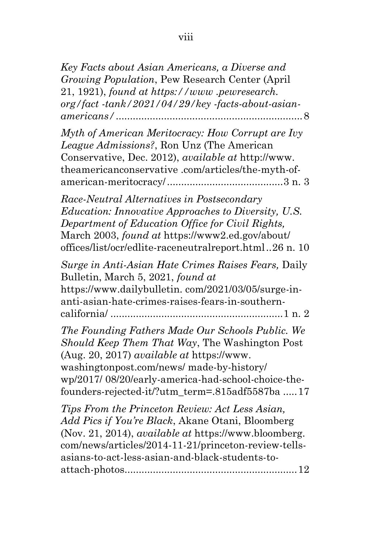| Key Facts about Asian Americans, a Diverse and          |
|---------------------------------------------------------|
| <i>Growing Population</i> , Pew Research Center (April) |
| 21, 1921), found at https://www.pewresearch.            |
| org/fact-tank/2021/04/29/key-facts-about-asian-         |
|                                                         |

*Myth of American Meritocracy: How Corrupt are Ivy League Admissions?*, Ron Unz (The American Conservative, Dec. 2012), *available at* http://www. theamericanconservative .com/articles/the-myth-ofamerican-meritocracy/.........................................3 n. 3

*Race-Neutral Alternatives in Postsecondary Education: Innovative Approaches to Diversity, U.S. Department of Education Office for Civil Rights,*  March 2003, *found at* https://www2.ed.gov/about/ offices/list/ocr/edlite-raceneutralreport.html..26 n. 10

*Surge in Anti-Asian Hate Crimes Raises Fears,* Daily Bulletin, March 5, 2021, *found at* https://www.dailybulletin. com/2021/03/05/surge-inanti-asian-hate-crimes-raises-fears-in-southerncalifornia/ .............................................................1 n. 2

*The Founding Fathers Made Our Schools Public. We Should Keep Them That Way*, The Washington Post (Aug. 20, 2017) *available at* https://www. washingtonpost.com/news/ made-by-history/ wp/2017/ 08/20/early-america-had-school-choice-thefounders-rejected-it/?utm\_term=.815adf5587ba .....17

*Tips From the Princeton Review: Act Less Asian, Add Pics if You're Black*, Akane Otani, Bloomberg (Nov. 21, 2014), *available at* https://www.bloomberg. com/news/articles/2014-11-21/princeton-review-tellsasians-to-act-less-asian-and-black-students-toattach-photos.............................................................12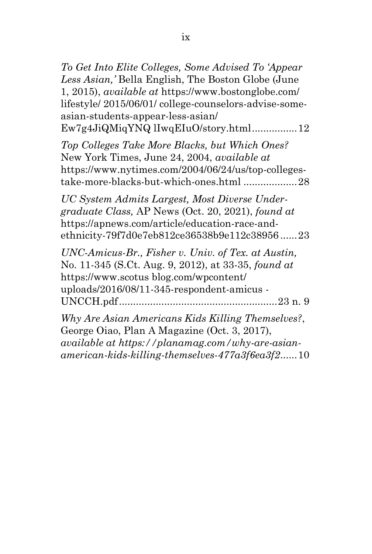*To Get Into Elite Colleges, Some Advised To 'Appear Less Asian,'* Bella English, The Boston Globe (June 1, 2015), *available at* https://www.bostonglobe.com/ lifestyle/ 2015/06/01/ college-counselors-advise-someasian-students-appear-less-asian/ Ew7g4JiQMiqYNQ lIwqEIuO/story.html................12

*Top Colleges Take More Blacks, but Which Ones?* New York Times, June 24, 2004, *available at*  https://www.nytimes.com/2004/06/24/us/top-collegestake-more-blacks-but-which-ones.html ...................28

*UC System Admits Largest, Most Diverse Undergraduate Class,* AP News (Oct. 20, 2021), *found at*  https://apnews.com/article/education-race-andethnicity-79f7d0e7eb812ce36538b9e112c38956 ......23

*UNC-Amicus-Br., Fisher v. Univ. of Tex. at Austin,*  No. 11-345 (S.Ct. Aug. 9, 2012), at 33-35, *found at*  https://www.scotus blog.com/wpcontent/ uploads/2016/08/11-345-respondent-amicus - UNCCH.pdf........................................................23 n. 9

*Why Are Asian Americans Kids Killing Themselves?*, George Oiao, Plan A Magazine (Oct. 3, 2017), *available at https://planamag.com/why-are-asianamerican-kids-killing-themselves-477a3f6ea3f2*......10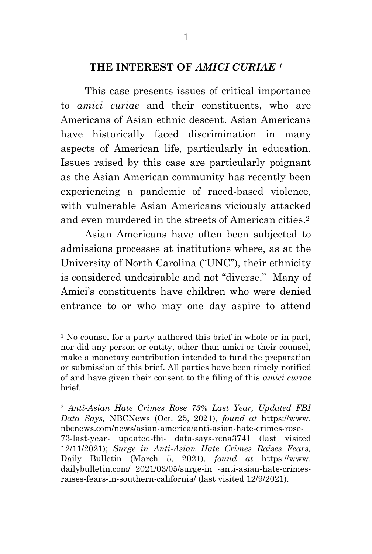#### **THE INTEREST OF** *AMICI CURIAE <sup>1</sup>*

This case presents issues of critical importance to *amici curiae* and their constituents, who are Americans of Asian ethnic descent. Asian Americans have historically faced discrimination in many aspects of American life, particularly in education. Issues raised by this case are particularly poignant as the Asian American community has recently been experiencing a pandemic of raced-based violence, with vulnerable Asian Americans viciously attacked and even murdered in the streets of American cities.<sup>2</sup>

Asian Americans have often been subjected to admissions processes at institutions where, as at the University of North Carolina ("UNC"), their ethnicity is considered undesirable and not "diverse." Many of Amici's constituents have children who were denied entrance to or who may one day aspire to attend

<sup>&</sup>lt;sup>1</sup> No counsel for a party authored this brief in whole or in part, nor did any person or entity, other than amici or their counsel, make a monetary contribution intended to fund the preparation or submission of this brief. All parties have been timely notified of and have given their consent to the filing of this *amici curiae*  brief.

<sup>2</sup> *Anti-Asian Hate Crimes Rose 73% Last Year, Updated FBI Data Says,* NBCNews (Oct. 25, 2021), *found at* https://www. nbcnews.com/news/asian-america/anti-asian-hate-crimes-rose-73-last-year- updated-fbi- data-says-rcna3741 (last visited 12/11/2021); *Surge in Anti-Asian Hate Crimes Raises Fears,*  Daily Bulletin (March 5, 2021), *found at* https://www. dailybulletin.com/ 2021/03/05/surge-in -anti-asian-hate-crimesraises-fears-in-southern-california/ (last visited 12/9/2021).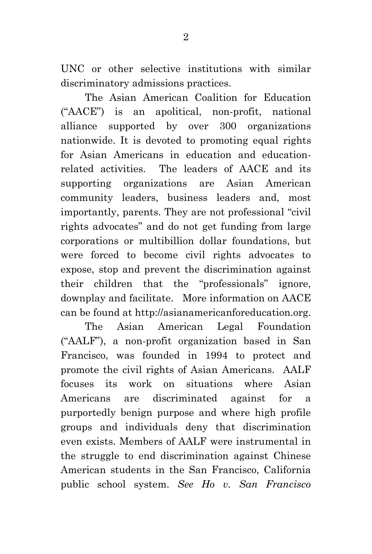UNC or other selective institutions with similar discriminatory admissions practices.

The Asian American Coalition for Education ("AACE") is an apolitical, non-profit, national alliance supported by over 300 organizations nationwide. It is devoted to promoting equal rights for Asian Americans in education and educationrelated activities. The leaders of AACE and its supporting organizations are Asian American community leaders, business leaders and, most importantly, parents. They are not professional "civil rights advocates" and do not get funding from large corporations or multibillion dollar foundations, but were forced to become civil rights advocates to expose, stop and prevent the discrimination against their children that the "professionals" ignore, downplay and facilitate. More information on AACE can be found at http://asianamericanforeducation.org.

The Asian American Legal Foundation ("AALF"), a non-profit organization based in San Francisco, was founded in 1994 to protect and promote the civil rights of Asian Americans. AALF focuses its work on situations where Asian Americans are discriminated against for a purportedly benign purpose and where high profile groups and individuals deny that discrimination even exists. Members of AALF were instrumental in the struggle to end discrimination against Chinese American students in the San Francisco, California public school system. *See Ho v. San Francisco*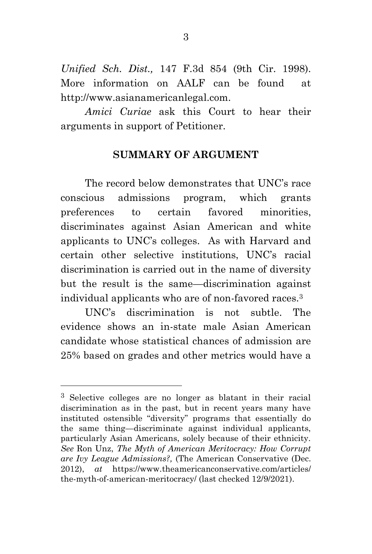*Unified Sch. Dist.,* 147 F.3d 854 (9th Cir. 1998). More information on AALF can be found at http://www.asianamericanlegal.com.

*Amici Curiae* ask this Court to hear their arguments in support of Petitioner.

#### **SUMMARY OF ARGUMENT**

The record below demonstrates that UNC's race conscious admissions program, which grants preferences to certain favored minorities, discriminates against Asian American and white applicants to UNC's colleges. As with Harvard and certain other selective institutions, UNC's racial discrimination is carried out in the name of diversity but the result is the same—discrimination against individual applicants who are of non-favored races.<sup>3</sup>

UNC's discrimination is not subtle. The evidence shows an in-state male Asian American candidate whose statistical chances of admission are 25% based on grades and other metrics would have a

<sup>3</sup> Selective colleges are no longer as blatant in their racial discrimination as in the past, but in recent years many have instituted ostensible "diversity" programs that essentially do the same thing—discriminate against individual applicants, particularly Asian Americans, solely because of their ethnicity. *See* Ron Unz, *The Myth of American Meritocracy: How Corrupt are Ivy League Admissions?,* (The American Conservative (Dec. 2012), *at* https://www.theamericanconservative.com/articles/ the-myth-of-american-meritocracy/ (last checked 12/9/2021).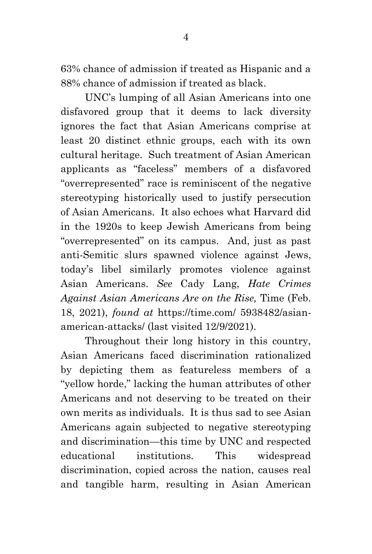63% chance of admission if treated as Hispanic and a 88% chance of admission if treated as black.

 UNC's lumping of all Asian Americans into one disfavored group that it deems to lack diversity ignores the fact that Asian Americans comprise at least 20 distinct ethnic groups, each with its own cultural heritage. Such treatment of Asian American applicants as "faceless" members of a disfavored "overrepresented" race is reminiscent of the negative stereotyping historically used to justify persecution of Asian Americans. It also echoes what Harvard did in the 1920s to keep Jewish Americans from being "overrepresented" on its campus. And, just as past anti-Semitic slurs spawned violence against Jews, today's libel similarly promotes violence against Asian Americans. *See* Cady Lang, *Hate Crimes Against Asian Americans Are on the Rise,* Time (Feb. 18, 2021), *found at* https://time.com/ 5938482/asianamerican-attacks/ (last visited 12/9/2021).

Throughout their long history in this country, Asian Americans faced discrimination rationalized by depicting them as featureless members of a "yellow horde," lacking the human attributes of other Americans and not deserving to be treated on their own merits as individuals. It is thus sad to see Asian Americans again subjected to negative stereotyping and discrimination—this time by UNC and respected educational institutions. This widespread discrimination, copied across the nation, causes real and tangible harm, resulting in Asian American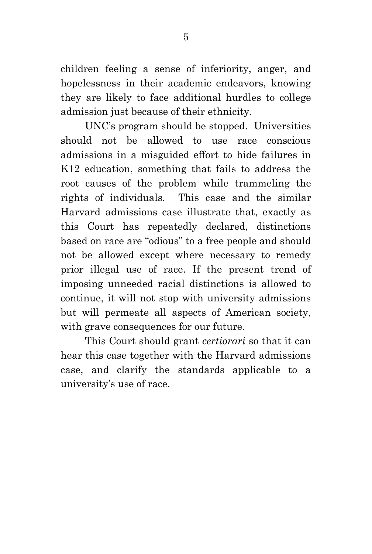children feeling a sense of inferiority, anger, and hopelessness in their academic endeavors, knowing they are likely to face additional hurdles to college admission just because of their ethnicity.

UNC's program should be stopped. Universities should not be allowed to use race conscious admissions in a misguided effort to hide failures in K12 education, something that fails to address the root causes of the problem while trammeling the rights of individuals. This case and the similar Harvard admissions case illustrate that, exactly as this Court has repeatedly declared, distinctions based on race are "odious" to a free people and should not be allowed except where necessary to remedy prior illegal use of race. If the present trend of imposing unneeded racial distinctions is allowed to continue, it will not stop with university admissions but will permeate all aspects of American society, with grave consequences for our future.

This Court should grant *certiorari* so that it can hear this case together with the Harvard admissions case, and clarify the standards applicable to a university's use of race.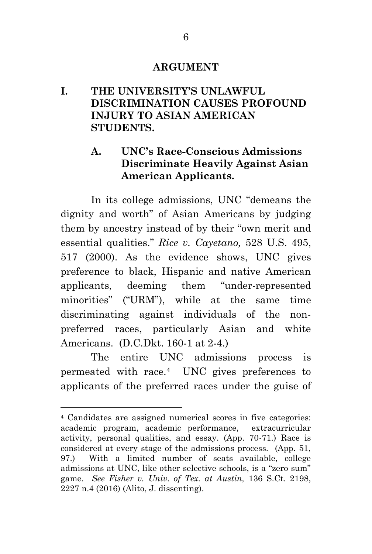#### **ARGUMENT**

# **I. THE UNIVERSITY'S UNLAWFUL DISCRIMINATION CAUSES PROFOUND INJURY TO ASIAN AMERICAN STUDENTS.**

# **A. UNC's Race-Conscious Admissions Discriminate Heavily Against Asian American Applicants.**

In its college admissions, UNC "demeans the dignity and worth" of Asian Americans by judging them by ancestry instead of by their "own merit and essential qualities." *Rice v. Cayetano,* 528 U.S. 495, 517 (2000). As the evidence shows, UNC gives preference to black, Hispanic and native American applicants, deeming them "under-represented minorities" ("URM"), while at the same time discriminating against individuals of the nonpreferred races, particularly Asian and white Americans. (D.C.Dkt. 160-1 at 2-4.)

The entire UNC admissions process is permeated with race. <sup>4</sup> UNC gives preferences to applicants of the preferred races under the guise of

<sup>4</sup> Candidates are assigned numerical scores in five categories: academic program, academic performance, extracurricular activity, personal qualities, and essay. (App. 70-71.) Race is considered at every stage of the admissions process. (App. 51, 97.) With a limited number of seats available, college admissions at UNC, like other selective schools, is a "zero sum" game. *See Fisher v. Univ. of Tex. at Austin,* 136 S.Ct. 2198, 2227 n.4 (2016) (Alito, J. dissenting).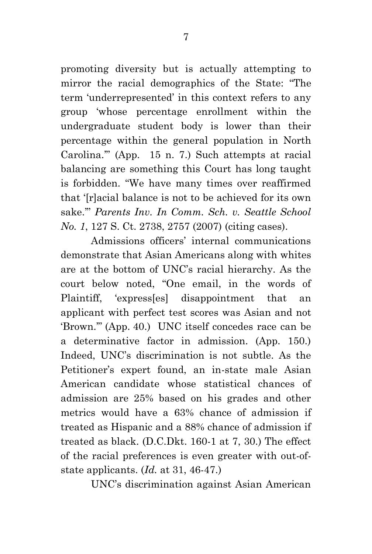promoting diversity but is actually attempting to mirror the racial demographics of the State: "The term 'underrepresented' in this context refers to any group 'whose percentage enrollment within the undergraduate student body is lower than their percentage within the general population in North Carolina.'" (App. 15 n. 7.) Such attempts at racial balancing are something this Court has long taught is forbidden. "We have many times over reaffirmed that '[r]acial balance is not to be achieved for its own sake.'" *Parents Inv. In Comm. Sch. v. Seattle School No. 1*, 127 S. Ct. 2738, 2757 (2007) (citing cases).

Admissions officers' internal communications demonstrate that Asian Americans along with whites are at the bottom of UNC's racial hierarchy. As the court below noted, "One email, in the words of Plaintiff, 'express[es] disappointment that an applicant with perfect test scores was Asian and not 'Brown.'" (App. 40.) UNC itself concedes race can be a determinative factor in admission. (App. 150.) Indeed, UNC's discrimination is not subtle. As the Petitioner's expert found, an in-state male Asian American candidate whose statistical chances of admission are 25% based on his grades and other metrics would have a 63% chance of admission if treated as Hispanic and a 88% chance of admission if treated as black. (D.C.Dkt. 160-1 at 7, 30.) The effect of the racial preferences is even greater with out-ofstate applicants. (*Id.* at 31, 46-47.)

UNC's discrimination against Asian American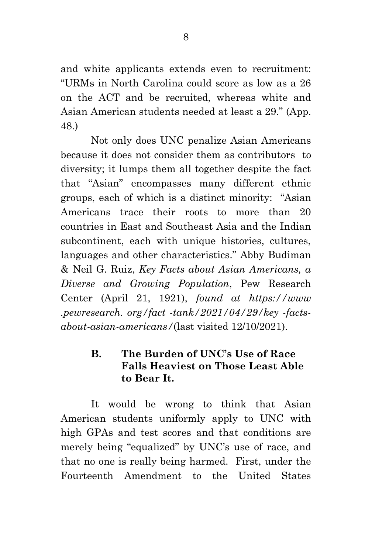and white applicants extends even to recruitment: "URMs in North Carolina could score as low as a 26 on the ACT and be recruited, whereas white and Asian American students needed at least a 29." (App. 48.)

Not only does UNC penalize Asian Americans because it does not consider them as contributors to diversity; it lumps them all together despite the fact that "Asian" encompasses many different ethnic groups, each of which is a distinct minority: "Asian Americans trace their roots to more than 20 countries in East and Southeast Asia and the Indian subcontinent, each with unique histories, cultures, languages and other characteristics." Abby Budiman & Neil G. Ruiz, *Key Facts about Asian Americans, a Diverse and Growing Population*, Pew Research Center (April 21, 1921), *found at https://www .pewresearch. org/fact -tank/2021/04/29/key -factsabout-asian-americans/*(last visited 12/10/2021).

# **B. The Burden of UNC's Use of Race Falls Heaviest on Those Least Able to Bear It.**

It would be wrong to think that Asian American students uniformly apply to UNC with high GPAs and test scores and that conditions are merely being "equalized" by UNC's use of race, and that no one is really being harmed. First, under the Fourteenth Amendment to the United States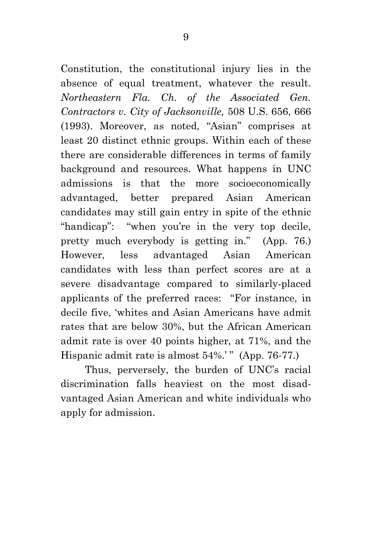Constitution, the constitutional injury lies in the absence of equal treatment, whatever the result. *Northeastern Fla. Ch. of the Associated Gen. Contractors v. City of Jacksonville,* 508 U.S. 656, 666 (1993). Moreover, as noted, "Asian" comprises at least 20 distinct ethnic groups. Within each of these there are considerable differences in terms of family background and resources. What happens in UNC admissions is that the more socioeconomically advantaged, better prepared Asian American candidates may still gain entry in spite of the ethnic "handicap": "when you're in the very top decile, pretty much everybody is getting in." (App. 76.) However, less advantaged Asian American candidates with less than perfect scores are at a severe disadvantage compared to similarly-placed applicants of the preferred races: "For instance, in decile five, 'whites and Asian Americans have admit rates that are below 30%, but the African American admit rate is over 40 points higher, at 71%, and the Hispanic admit rate is almost 54%.'" (App. 76-77.)

Thus, perversely, the burden of UNC's racial discrimination falls heaviest on the most disadvantaged Asian American and white individuals who apply for admission.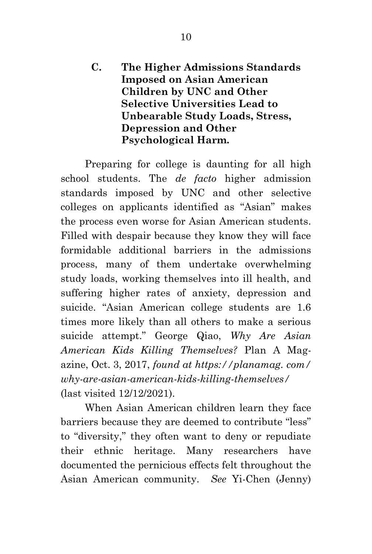**C. The Higher Admissions Standards Imposed on Asian American Children by UNC and Other Selective Universities Lead to Unbearable Study Loads, Stress, Depression and Other Psychological Harm.**

Preparing for college is daunting for all high school students. The *de facto* higher admission standards imposed by UNC and other selective colleges on applicants identified as "Asian" makes the process even worse for Asian American students. Filled with despair because they know they will face formidable additional barriers in the admissions process, many of them undertake overwhelming study loads, working themselves into ill health, and suffering higher rates of anxiety, depression and suicide. "Asian American college students are 1.6 times more likely than all others to make a serious suicide attempt." George Qiao, *Why Are Asian American Kids Killing Themselves?* Plan A Magazine, Oct. 3, 2017, *found at https://planamag. com/ why-are-asian-american-kids-killing-themselves/* (last visited 12/12/2021).

When Asian American children learn they face barriers because they are deemed to contribute "less" to "diversity," they often want to deny or repudiate their ethnic heritage. Many researchers have documented the pernicious effects felt throughout the Asian American community. *See* Yi-Chen (Jenny)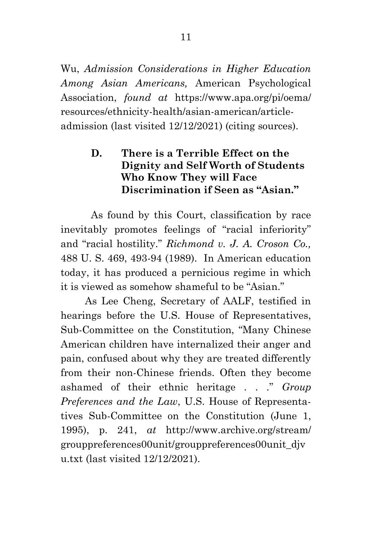Wu, *Admission Considerations in Higher Education Among Asian Americans,* American Psychological Association, *found at* https://www.apa.org/pi/oema/ resources/ethnicity-health/asian-american/articleadmission (last visited 12/12/2021) (citing sources).

# **D. There is a Terrible Effect on the Dignity and Self Worth of Students Who Know They will Face Discrimination if Seen as "Asian."**

As found by this Court, classification by race inevitably promotes feelings of "racial inferiority" and "racial hostility." *Richmond v. J. A. Croson Co.,* 488 U. S. 469, 493-94 (1989). In American education today, it has produced a pernicious regime in which it is viewed as somehow shameful to be "Asian."

As Lee Cheng, Secretary of AALF, testified in hearings before the U.S. House of Representatives, Sub-Committee on the Constitution, "Many Chinese American children have internalized their anger and pain, confused about why they are treated differently from their non-Chinese friends. Often they become ashamed of their ethnic heritage . . ." *Group Preferences and the Law*, U.S. House of Representatives Sub-Committee on the Constitution (June 1, 1995), p. 241, *at* http://www.archive.org/stream/ grouppreferences00unit/grouppreferences00unit\_djv u.txt (last visited 12/12/2021).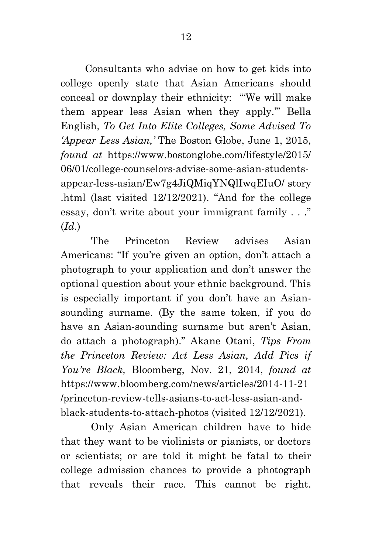Consultants who advise on how to get kids into college openly state that Asian Americans should conceal or downplay their ethnicity: "'We will make them appear less Asian when they apply.'" Bella English, *To Get Into Elite Colleges, Some Advised To 'Appear Less Asian,'* The Boston Globe, June 1, 2015, *found at* https://www.bostonglobe.com/lifestyle/2015/ 06/01/college-counselors-advise-some-asian-studentsappear-less-asian/Ew7g4JiQMiqYNQlIwqEIuO/ story .html (last visited 12/12/2021). "And for the college essay, don't write about your immigrant family . . ." (*Id.*)

The Princeton Review advises Asian Americans: "If you're given an option, don't attach a photograph to your application and don't answer the optional question about your ethnic background. This is especially important if you don't have an Asiansounding surname. (By the same token, if you do have an Asian-sounding surname but aren't Asian, do attach a photograph)." Akane Otani, *Tips From the Princeton Review: Act Less Asian, Add Pics if You're Black,* Bloomberg, Nov. 21, 2014, *found at*  https://www.bloomberg.com/news/articles/2014-11-21 /princeton-review-tells-asians-to-act-less-asian-andblack-students-to-attach-photos (visited 12/12/2021).

Only Asian American children have to hide that they want to be violinists or pianists, or doctors or scientists; or are told it might be fatal to their college admission chances to provide a photograph that reveals their race. This cannot be right.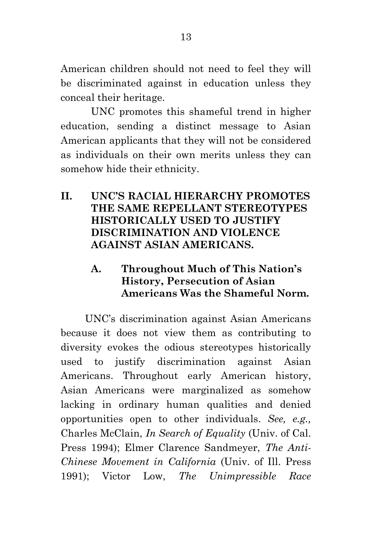American children should not need to feel they will be discriminated against in education unless they conceal their heritage.

UNC promotes this shameful trend in higher education, sending a distinct message to Asian American applicants that they will not be considered as individuals on their own merits unless they can somehow hide their ethnicity.

#### **II. UNC'S RACIAL HIERARCHY PROMOTES THE SAME REPELLANT STEREOTYPES HISTORICALLY USED TO JUSTIFY DISCRIMINATION AND VIOLENCE AGAINST ASIAN AMERICANS.**

# **A. Throughout Much of This Nation's History, Persecution of Asian Americans Was the Shameful Norm.**

UNC's discrimination against Asian Americans because it does not view them as contributing to diversity evokes the odious stereotypes historically used to justify discrimination against Asian Americans. Throughout early American history, Asian Americans were marginalized as somehow lacking in ordinary human qualities and denied opportunities open to other individuals. *See, e.g.,* Charles McClain, *In Search of Equality* (Univ. of Cal. Press 1994); Elmer Clarence Sandmeyer, *The Anti-Chinese Movement in California* (Univ. of Ill. Press 1991); Victor Low, *The Unimpressible Race*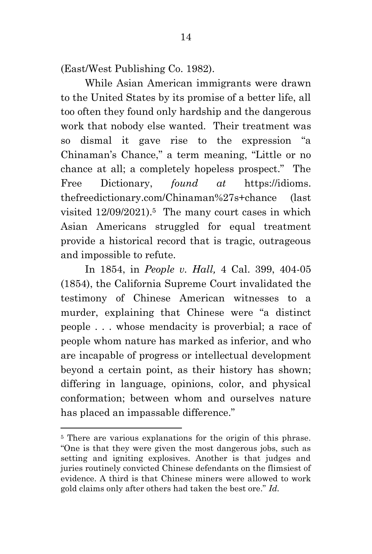(East/West Publishing Co. 1982).

While Asian American immigrants were drawn to the United States by its promise of a better life, all too often they found only hardship and the dangerous work that nobody else wanted. Their treatment was so dismal it gave rise to the expression "a Chinaman's Chance," a term meaning, "Little or no chance at all; a completely hopeless prospect." The Free Dictionary, *found at* https://idioms. thefreedictionary.com/Chinaman%27s+chance (last visited 12/09/2021).5 The many court cases in which Asian Americans struggled for equal treatment provide a historical record that is tragic, outrageous and impossible to refute.

In 1854, in *People v. Hall,* 4 Cal. 399, 404-05 (1854), the California Supreme Court invalidated the testimony of Chinese American witnesses to a murder, explaining that Chinese were "a distinct people . . . whose mendacity is proverbial; a race of people whom nature has marked as inferior, and who are incapable of progress or intellectual development beyond a certain point, as their history has shown; differing in language, opinions, color, and physical conformation; between whom and ourselves nature has placed an impassable difference."

<sup>&</sup>lt;sup>5</sup> There are various explanations for the origin of this phrase. "One is that they were given the most dangerous jobs, such as setting and igniting explosives. Another is that judges and juries routinely convicted Chinese defendants on the flimsiest of evidence. A third is that Chinese miners were allowed to work gold claims only after others had taken the best ore." *Id.*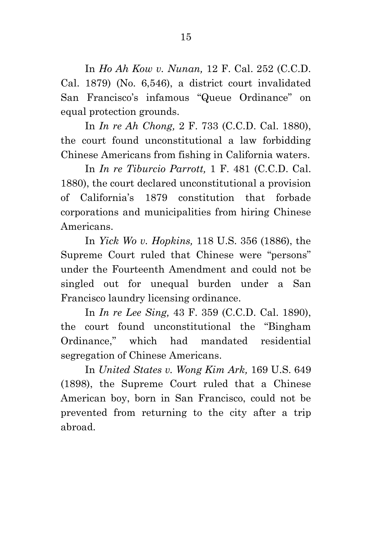In *Ho Ah Kow v. Nunan,* 12 F. Cal. 252 (C.C.D. Cal. 1879) (No. 6,546), a district court invalidated San Francisco's infamous "Queue Ordinance" on equal protection grounds.

In *In re Ah Chong,* 2 F. 733 (C.C.D. Cal. 1880), the court found unconstitutional a law forbidding Chinese Americans from fishing in California waters.

In *In re Tiburcio Parrott,* 1 F. 481 (C.C.D. Cal. 1880), the court declared unconstitutional a provision of California's 1879 constitution that forbade corporations and municipalities from hiring Chinese Americans.

In *Yick Wo v. Hopkins,* 118 U.S. 356 (1886), the Supreme Court ruled that Chinese were "persons" under the Fourteenth Amendment and could not be singled out for unequal burden under a San Francisco laundry licensing ordinance.

In *In re Lee Sing,* 43 F. 359 (C.C.D. Cal. 1890), the court found unconstitutional the "Bingham Ordinance," which had mandated residential segregation of Chinese Americans.

In *United States v. Wong Kim Ark,* 169 U.S. 649 (1898), the Supreme Court ruled that a Chinese American boy, born in San Francisco, could not be prevented from returning to the city after a trip abroad.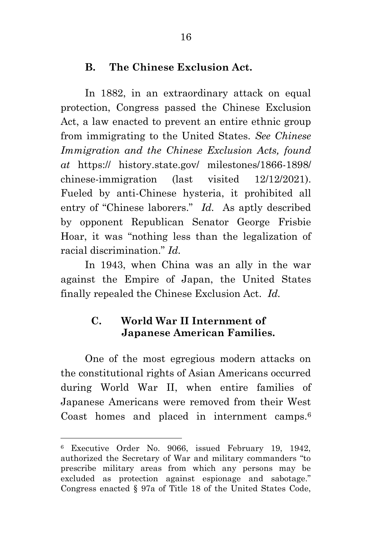### **B. The Chinese Exclusion Act.**

In 1882, in an extraordinary attack on equal protection, Congress passed the Chinese Exclusion Act, a law enacted to prevent an entire ethnic group from immigrating to the United States. *See Chinese Immigration and the Chinese Exclusion Acts, found at* https:// history.state.gov/ milestones/1866-1898/ chinese-immigration (last visited 12/12/2021). Fueled by anti-Chinese hysteria, it prohibited all entry of "Chinese laborers." *Id.* As aptly described by opponent Republican Senator George Frisbie Hoar, it was "nothing less than the legalization of racial discrimination." *Id.*

In 1943, when China was an ally in the war against the Empire of Japan, the United States finally repealed the Chinese Exclusion Act. *Id.*

# **C. World War II Internment of Japanese American Families.**

One of the most egregious modern attacks on the constitutional rights of Asian Americans occurred during World War II, when entire families of Japanese Americans were removed from their West Coast homes and placed in internment camps.<sup>6</sup>

<sup>6</sup> Executive Order No. 9066, issued February 19, 1942, authorized the Secretary of War and military commanders "to prescribe military areas from which any persons may be excluded as protection against espionage and sabotage." Congress enacted § 97a of Title 18 of the United States Code,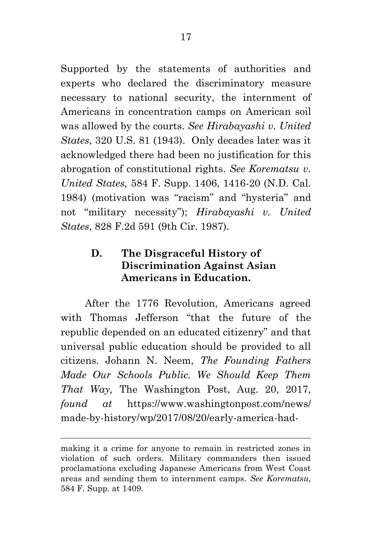Supported by the statements of authorities and experts who declared the discriminatory measure necessary to national security, the internment of Americans in concentration camps on American soil was allowed by the courts. *See Hirabayashi v. United States*, 320 U.S. 81 (1943). Only decades later was it acknowledged there had been no justification for this abrogation of constitutional rights. *See Korematsu v. United States,* 584 F. Supp. 1406, 1416-20 (N.D. Cal. 1984) (motivation was "racism" and "hysteria" and not "military necessity"); *Hirabayashi v. United States*, 828 F.2d 591 (9th Cir. 1987).

# **D. The Disgraceful History of Discrimination Against Asian Americans in Education.**

After the 1776 Revolution, Americans agreed with Thomas Jefferson "that the future of the republic depended on an educated citizenry" and that universal public education should be provided to all citizens. Johann N. Neem, *The Founding Fathers Made Our Schools Public. We Should Keep Them That Way,* The Washington Post, Aug. 20, 2017, *found at* https://www.washingtonpost.com/news/ made-by-history/wp/2017/08/20/early-america-had-

making it a crime for anyone to remain in restricted zones in violation of such orders. Military commanders then issued proclamations excluding Japanese Americans from West Coast areas and sending them to internment camps. *See Korematsu,*  584 F. Supp. at 1409.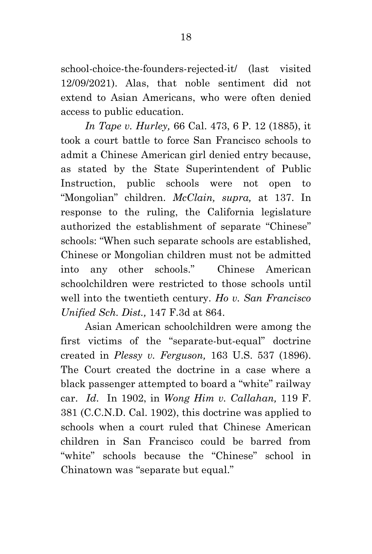school-choice-the-founders-rejected-it/ (last visited 12/09/2021). Alas, that noble sentiment did not extend to Asian Americans, who were often denied access to public education.

*In Tape v. Hurley,* 66 Cal. 473, 6 P. 12 (1885), it took a court battle to force San Francisco schools to admit a Chinese American girl denied entry because, as stated by the State Superintendent of Public Instruction, public schools were not open to "Mongolian" children. *McClain, supra,* at 137. In response to the ruling, the California legislature authorized the establishment of separate "Chinese" schools: "When such separate schools are established, Chinese or Mongolian children must not be admitted into any other schools." Chinese American schoolchildren were restricted to those schools until well into the twentieth century. *Ho v. San Francisco Unified Sch. Dist.,* 147 F.3d at 864.

Asian American schoolchildren were among the first victims of the "separate-but-equal" doctrine created in *Plessy v. Ferguson,* 163 U.S. 537 (1896). The Court created the doctrine in a case where a black passenger attempted to board a "white" railway car. *Id*. In 1902, in *Wong Him v. Callahan,* 119 F. 381 (C.C.N.D. Cal. 1902), this doctrine was applied to schools when a court ruled that Chinese American children in San Francisco could be barred from "white" schools because the "Chinese" school in Chinatown was "separate but equal."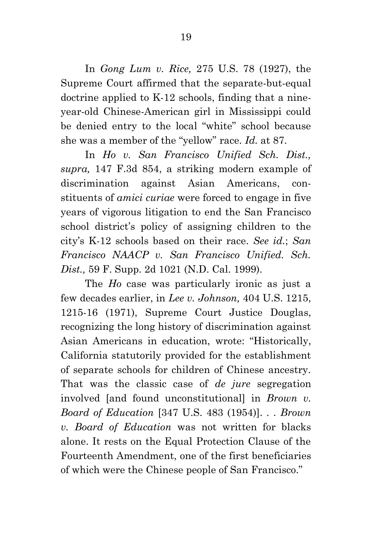In *Gong Lum v. Rice,* 275 U.S. 78 (1927), the Supreme Court affirmed that the separate-but-equal doctrine applied to K-12 schools, finding that a nineyear-old Chinese-American girl in Mississippi could be denied entry to the local "white" school because she was a member of the "yellow" race. *Id.* at 87.

In *Ho v. San Francisco Unified Sch. Dist., supra,* 147 F.3d 854, a striking modern example of discrimination against Asian Americans, constituents of *amici curiae* were forced to engage in five years of vigorous litigation to end the San Francisco school district's policy of assigning children to the city's K-12 schools based on their race. *See id.*; *San Francisco NAACP v. San Francisco Unified. Sch. Dist.,* 59 F. Supp. 2d 1021 (N.D. Cal. 1999).

The *Ho* case was particularly ironic as just a few decades earlier, in *Lee v. Johnson,* 404 U.S. 1215, 1215-16 (1971), Supreme Court Justice Douglas, recognizing the long history of discrimination against Asian Americans in education, wrote: "Historically, California statutorily provided for the establishment of separate schools for children of Chinese ancestry. That was the classic case of *de jure* segregation involved [and found unconstitutional] in *Brown v. Board of Education* [347 U.S. 483 (1954)]. . . *Brown v. Board of Education* was not written for blacks alone. It rests on the Equal Protection Clause of the Fourteenth Amendment, one of the first beneficiaries of which were the Chinese people of San Francisco."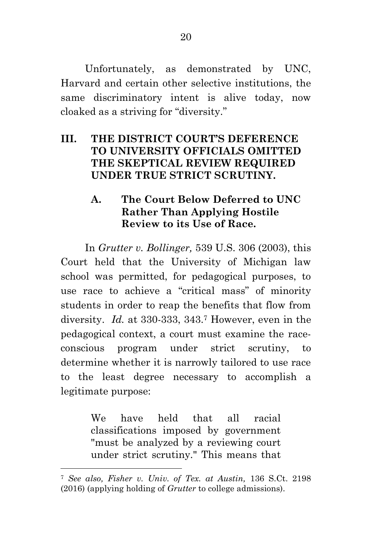Unfortunately, as demonstrated by UNC, Harvard and certain other selective institutions, the same discriminatory intent is alive today, now cloaked as a striving for "diversity."

# **III. THE DISTRICT COURT'S DEFERENCE TO UNIVERSITY OFFICIALS OMITTED THE SKEPTICAL REVIEW REQUIRED UNDER TRUE STRICT SCRUTINY.**

#### **A. The Court Below Deferred to UNC Rather Than Applying Hostile Review to its Use of Race.**

In *Grutter v. Bollinger,* 539 U.S. 306 (2003), this Court held that the University of Michigan law school was permitted, for pedagogical purposes, to use race to achieve a "critical mass" of minority students in order to reap the benefits that flow from diversity. *Id.* at 330-333, 343.<sup>7</sup> However, even in the pedagogical context, a court must examine the raceconscious program under strict scrutiny, to determine whether it is narrowly tailored to use race to the least degree necessary to accomplish a legitimate purpose:

> We have held that all racial classifications imposed by government "must be analyzed by a reviewing court under strict scrutiny." This means that

<sup>7</sup> *See also, Fisher v. Univ. of Tex. at Austin,* 136 S.Ct. 2198 (2016) (applying holding of *Grutter* to college admissions).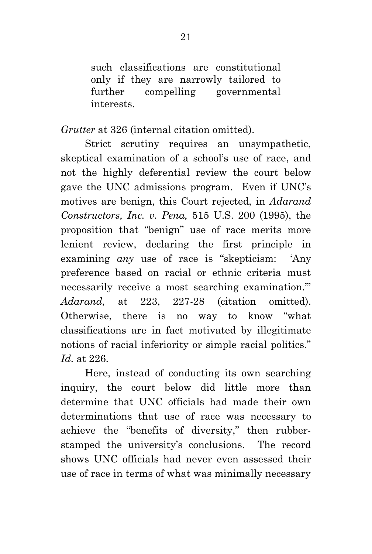such classifications are constitutional only if they are narrowly tailored to further compelling governmental interests.

*Grutter* at 326 (internal citation omitted).

Strict scrutiny requires an unsympathetic, skeptical examination of a school's use of race, and not the highly deferential review the court below gave the UNC admissions program. Even if UNC's motives are benign, this Court rejected, in *Adarand Constructors, Inc. v. Pena,* 515 U.S. 200 (1995), the proposition that "benign" use of race merits more lenient review, declaring the first principle in examining *any* use of race is "skepticism: 'Any preference based on racial or ethnic criteria must necessarily receive a most searching examination.'" *Adarand,* at 223, 227-28 (citation omitted). Otherwise, there is no way to know "what classifications are in fact motivated by illegitimate notions of racial inferiority or simple racial politics." *Id.* at 226.

Here, instead of conducting its own searching inquiry, the court below did little more than determine that UNC officials had made their own determinations that use of race was necessary to achieve the "benefits of diversity," then rubberstamped the university's conclusions. The record shows UNC officials had never even assessed their use of race in terms of what was minimally necessary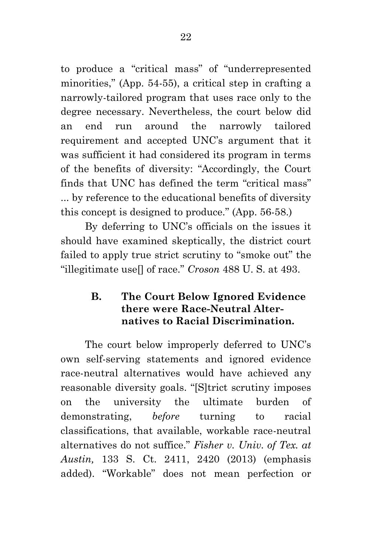to produce a "critical mass" of "underrepresented minorities," (App. 54-55), a critical step in crafting a narrowly-tailored program that uses race only to the degree necessary. Nevertheless, the court below did an end run around the narrowly tailored requirement and accepted UNC's argument that it was sufficient it had considered its program in terms of the benefits of diversity: "Accordingly, the Court finds that UNC has defined the term "critical mass" ... by reference to the educational benefits of diversity this concept is designed to produce." (App. 56-58.)

By deferring to UNC's officials on the issues it should have examined skeptically, the district court failed to apply true strict scrutiny to "smoke out" the "illegitimate use[] of race." *Croson* 488 U. S. at 493.

### **B. The Court Below Ignored Evidence there were Race-Neutral Alternatives to Racial Discrimination.**

The court below improperly deferred to UNC's own self-serving statements and ignored evidence race-neutral alternatives would have achieved any reasonable diversity goals. "[S]trict scrutiny imposes on the university the ultimate burden of demonstrating, *before* turning to racial classifications, that available, workable race-neutral alternatives do not suffice." *Fisher v. Univ. of Tex. at Austin,* 133 S. Ct. 2411, 2420 (2013) (emphasis added). "Workable" does not mean perfection or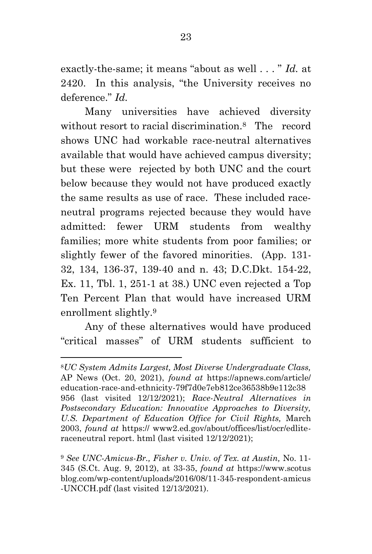exactly-the-same; it means "about as well . . . " *Id.* at 2420. In this analysis, "the University receives no deference." *Id.*

Many universities have achieved diversity without resort to racial discrimination.8 The record shows UNC had workable race-neutral alternatives available that would have achieved campus diversity; but these were rejected by both UNC and the court below because they would not have produced exactly the same results as use of race. These included raceneutral programs rejected because they would have admitted: fewer URM students from wealthy families; more white students from poor families; or slightly fewer of the favored minorities. (App. 131- 32, 134, 136-37, 139-40 and n. 43; D.C.Dkt. 154-22, Ex. 11, Tbl. 1, 251-1 at 38.) UNC even rejected a Top Ten Percent Plan that would have increased URM enrollment slightly.<sup>9</sup>

Any of these alternatives would have produced "critical masses" of URM students sufficient to

<sup>8</sup>*UC System Admits Largest, Most Diverse Undergraduate Class,* AP News (Oct. 20, 2021), *found at* https://apnews.com/article/ education-race-and-ethnicity-79f7d0e7eb812ce36538b9e112c38 956 (last visited 12/12/2021); *Race-Neutral Alternatives in Postsecondary Education: Innovative Approaches to Diversity, U.S. Department of Education Office for Civil Rights,* March 2003, *found at* https:// www2.ed.gov/about/offices/list/ocr/edliteraceneutral report. html (last visited 12/12/2021);

<sup>9</sup> *See UNC-Amicus-Br., Fisher v. Univ. of Tex. at Austin,* No. 11- 345 (S.Ct. Aug. 9, 2012), at 33-35, *found at* https://www.scotus blog.com/wp-content/uploads/2016/08/11-345-respondent-amicus -UNCCH.pdf (last visited 12/13/2021).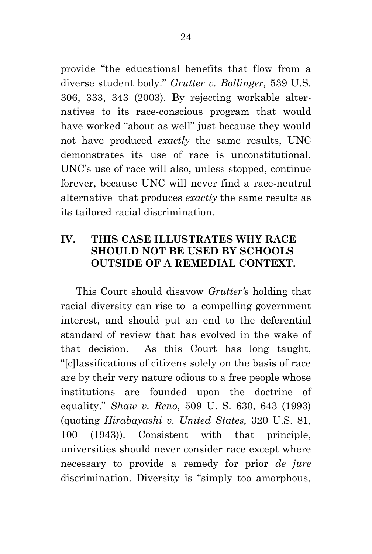provide "the educational benefits that flow from a diverse student body." *Grutter v. Bollinger,* 539 U.S. 306, 333, 343 (2003). By rejecting workable alternatives to its race-conscious program that would have worked "about as well" just because they would not have produced *exactly* the same results, UNC demonstrates its use of race is unconstitutional. UNC's use of race will also, unless stopped, continue forever, because UNC will never find a race-neutral alternative that produces *exactly* the same results as its tailored racial discrimination.

### **IV. THIS CASE ILLUSTRATES WHY RACE SHOULD NOT BE USED BY SCHOOLS OUTSIDE OF A REMEDIAL CONTEXT.**

This Court should disavow *Grutter's* holding that racial diversity can rise to a compelling government interest, and should put an end to the deferential standard of review that has evolved in the wake of that decision. As this Court has long taught, "[c]lassifications of citizens solely on the basis of race are by their very nature odious to a free people whose institutions are founded upon the doctrine of equality." *Shaw v. Reno*, 509 U. S. 630, 643 (1993) (quoting *Hirabayashi v. United States,* 320 U.S. 81, 100 (1943)). Consistent with that principle, universities should never consider race except where necessary to provide a remedy for prior *de jure*  discrimination. Diversity is "simply too amorphous,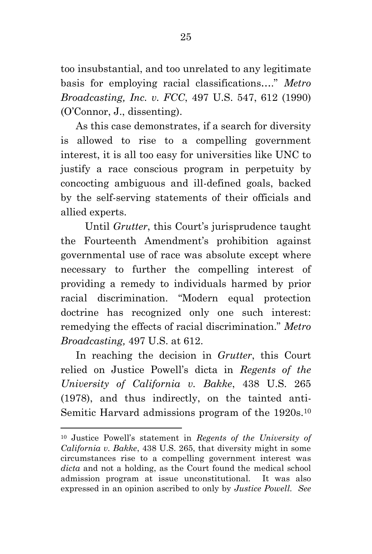too insubstantial, and too unrelated to any legitimate basis for employing racial classifications…." *Metro Broadcasting, Inc. v. FCC*, 497 U.S. 547, 612 (1990) (O'Connor, J., dissenting).

As this case demonstrates, if a search for diversity is allowed to rise to a compelling government interest, it is all too easy for universities like UNC to justify a race conscious program in perpetuity by concocting ambiguous and ill-defined goals, backed by the self-serving statements of their officials and allied experts.

Until *Grutter*, this Court's jurisprudence taught the Fourteenth Amendment's prohibition against governmental use of race was absolute except where necessary to further the compelling interest of providing a remedy to individuals harmed by prior racial discrimination. "Modern equal protection doctrine has recognized only one such interest: remedying the effects of racial discrimination." *Metro Broadcasting,* 497 U.S. at 612.

In reaching the decision in *Grutter*, this Court relied on Justice Powell's dicta in *Regents of the University of California v. Bakke*, 438 U.S. 265 (1978), and thus indirectly, on the tainted anti-Semitic Harvard admissions program of the 1920s.<sup>10</sup>

<sup>10</sup> Justice Powell's statement in *Regents of the University of California v. Bakke*, 438 U.S. 265, that diversity might in some circumstances rise to a compelling government interest was *dicta* and not a holding, as the Court found the medical school admission program at issue unconstitutional.It was also expressed in an opinion ascribed to only by *Justice Powell. See*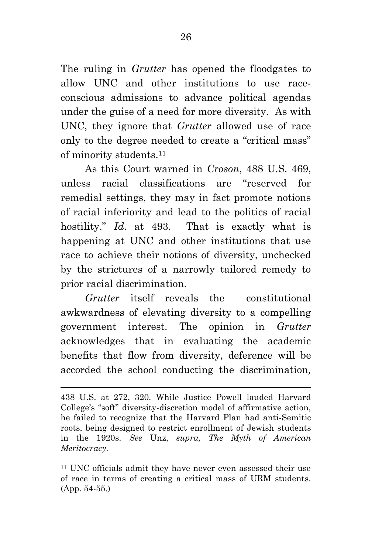The ruling in *Grutter* has opened the floodgates to allow UNC and other institutions to use raceconscious admissions to advance political agendas under the guise of a need for more diversity. As with UNC, they ignore that *Grutter* allowed use of race only to the degree needed to create a "critical mass" of minority students.<sup>11</sup>

As this Court warned in *Croson*, 488 U.S. 469, unless racial classifications are "reserved for remedial settings, they may in fact promote notions of racial inferiority and lead to the politics of racial hostility." *Id*. at 493. That is exactly what is happening at UNC and other institutions that use race to achieve their notions of diversity, unchecked by the strictures of a narrowly tailored remedy to prior racial discrimination.

*Grutter* itself reveals the constitutional awkwardness of elevating diversity to a compelling government interest. The opinion in *Grutter*  acknowledges that in evaluating the academic benefits that flow from diversity, deference will be accorded the school conducting the discrimination*,* 

<sup>438</sup> U.S. at 272, 320. While Justice Powell lauded Harvard College's "soft" diversity-discretion model of affirmative action, he failed to recognize that the Harvard Plan had anti-Semitic roots, being designed to restrict enrollment of Jewish students in the 1920s. *See* Unz, *supra, The Myth of American Meritocracy.*

<sup>11</sup> UNC officials admit they have never even assessed their use of race in terms of creating a critical mass of URM students. (App. 54-55.)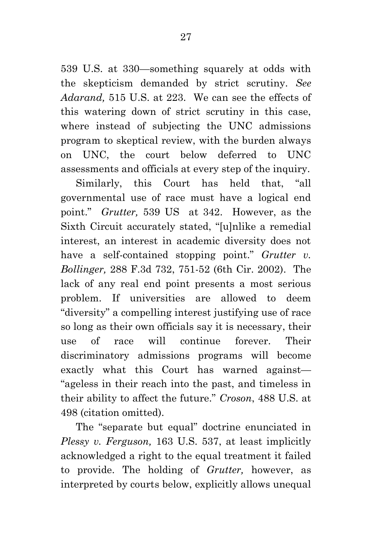539 U.S. at 330—something squarely at odds with the skepticism demanded by strict scrutiny. *See Adarand,* 515 U.S. at 223. We can see the effects of this watering down of strict scrutiny in this case, where instead of subjecting the UNC admissions program to skeptical review, with the burden always on UNC, the court below deferred to UNC assessments and officials at every step of the inquiry.

Similarly, this Court has held that, "all governmental use of race must have a logical end point." *Grutter,* 539 US at 342. However, as the Sixth Circuit accurately stated, "[u]nlike a remedial interest, an interest in academic diversity does not have a self-contained stopping point." *Grutter v. Bollinger,* 288 F.3d 732, 751-52 (6th Cir. 2002). The lack of any real end point presents a most serious problem. If universities are allowed to deem "diversity" a compelling interest justifying use of race so long as their own officials say it is necessary, their use of race will continue forever. Their discriminatory admissions programs will become exactly what this Court has warned against— "ageless in their reach into the past, and timeless in their ability to affect the future." *Croson*, 488 U.S. at 498 (citation omitted).

The "separate but equal" doctrine enunciated in *Plessy v. Ferguson,* 163 U.S. 537, at least implicitly acknowledged a right to the equal treatment it failed to provide. The holding of *Grutter,* however, as interpreted by courts below, explicitly allows unequal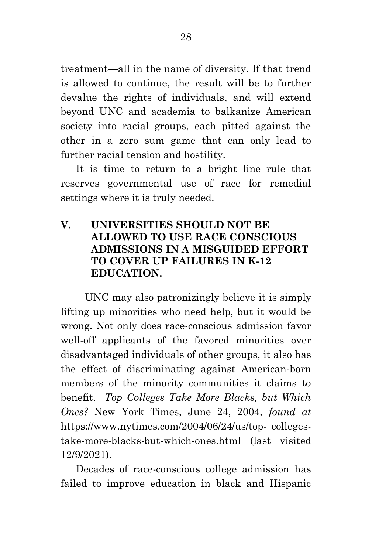treatment—all in the name of diversity. If that trend is allowed to continue, the result will be to further devalue the rights of individuals, and will extend beyond UNC and academia to balkanize American society into racial groups, each pitted against the other in a zero sum game that can only lead to further racial tension and hostility.

It is time to return to a bright line rule that reserves governmental use of race for remedial settings where it is truly needed.

#### **V. UNIVERSITIES SHOULD NOT BE ALLOWED TO USE RACE CONSCIOUS ADMISSIONS IN A MISGUIDED EFFORT TO COVER UP FAILURES IN K-12 EDUCATION.**

UNC may also patronizingly believe it is simply lifting up minorities who need help, but it would be wrong. Not only does race-conscious admission favor well-off applicants of the favored minorities over disadvantaged individuals of other groups, it also has the effect of discriminating against American-born members of the minority communities it claims to benefit. *Top Colleges Take More Blacks, but Which Ones?* New York Times, June 24, 2004, *found at*  https://www.nytimes.com/2004/06/24/us/top- collegestake-more-blacks-but-which-ones.html (last visited 12/9/2021).

Decades of race-conscious college admission has failed to improve education in black and Hispanic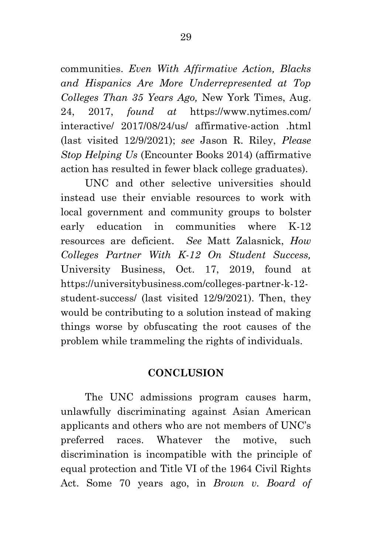communities. *Even With Affirmative Action, Blacks and Hispanics Are More Underrepresented at Top Colleges Than 35 Years Ago,* New York Times, Aug. 24, 2017, *found at* https://www.nytimes.com/ interactive/ 2017/08/24/us/ affirmative-action .html (last visited 12/9/2021); *see* Jason R. Riley, *Please* 

*Stop Helping Us* (Encounter Books 2014) (affirmative

action has resulted in fewer black college graduates). UNC and other selective universities should instead use their enviable resources to work with local government and community groups to bolster early education in communities where K-12 resources are deficient. *See* Matt Zalasnick, *How Colleges Partner With K-12 On Student Success,* University Business, Oct. 17, 2019, found at https://universitybusiness.com/colleges-partner-k-12 student-success/ (last visited 12/9/2021). Then, they would be contributing to a solution instead of making things worse by obfuscating the root causes of the problem while trammeling the rights of individuals.

#### **CONCLUSION**

The UNC admissions program causes harm, unlawfully discriminating against Asian American applicants and others who are not members of UNC's preferred races. Whatever the motive, such discrimination is incompatible with the principle of equal protection and Title VI of the 1964 Civil Rights Act. Some 70 years ago, in *Brown v. Board of*